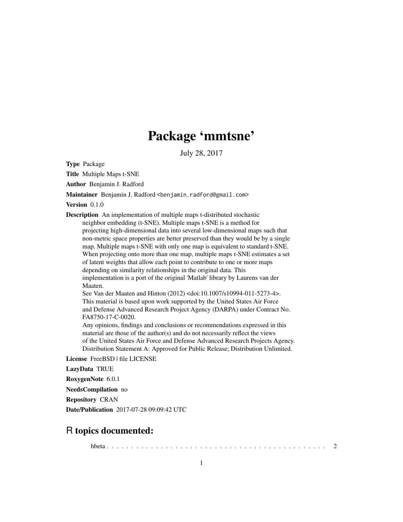## Package 'mmtsne'

July 28, 2017

Type Package

Title Multiple Maps t-SNE

Author Benjamin J. Radford

Maintainer Benjamin J. Radford <br/>benjamin.radford@gmail.com>

Version 0.1.0

Description An implementation of multiple maps t-distributed stochastic neighbor embedding (t-SNE). Multiple maps t-SNE is a method for projecting high-dimensional data into several low-dimensional maps such that non-metric space properties are better preserved than they would be by a single map. Multiple maps t-SNE with only one map is equivalent to standard t-SNE. When projecting onto more than one map, multiple maps t-SNE estimates a set of latent weights that allow each point to contribute to one or more maps depending on similarity relationships in the original data. This implementation is a port of the original 'Matlab' library by Laurens van der Maaten. See Van der Maaten and Hinton (2012) <doi:10.1007/s10994-011-5273-4>. This material is based upon work supported by the United States Air Force and Defense Advanced Research Project Agency (DARPA) under Contract No. FA8750-17-C-0020. Any opinions, findings and conclusions or recommendations expressed in this material are those of the author(s) and do not necessarily reflect the views of the United States Air Force and Defense Advanced Research Projects Agency. Distribution Statement A: Approved for Public Release; Distribution Unlimited.

License FreeBSD | file LICENSE

LazyData TRUE

RoxygenNote 6.0.1

NeedsCompilation no

Repository CRAN

Date/Publication 2017-07-28 09:09:42 UTC

### R topics documented:

hbeta . . . . . . . . . . . . . . . . . . . . . . . . . . . . . . . . . . . . . . . . . . . . . [2](#page-1-0)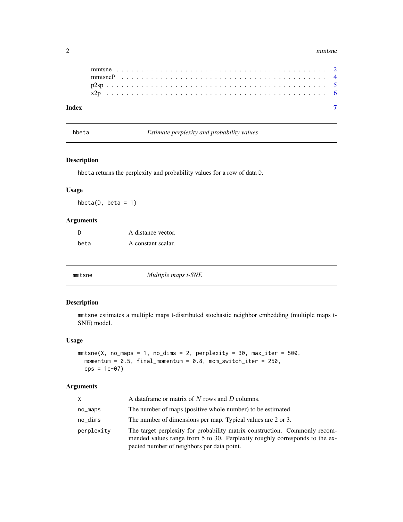#### <span id="page-1-0"></span>2 mmtsne

| Index |  |  |  |  |  |  |  |  |  |  |  |  |  |  |  |  |  |  |  |  |  |
|-------|--|--|--|--|--|--|--|--|--|--|--|--|--|--|--|--|--|--|--|--|--|

hbeta *Estimate perplexity and probability values*

#### Description

hbeta returns the perplexity and probability values for a row of data D.

#### Usage

 $hbeta(D, beta = 1)$ 

#### Arguments

| -D   | A distance vector. |
|------|--------------------|
| beta | A constant scalar. |

<span id="page-1-1"></span>

#### Description

mmtsne estimates a multiple maps t-distributed stochastic neighbor embedding (multiple maps t-SNE) model.

#### Usage

```
mmtsne(X, no\_maps = 1, no\_dims = 2, perplexity = 30, max\_iter = 500,momentum = 0.5, final_momentum = 0.8, mom_switch_iter = 250,
  eps = 1e-07)
```
#### Arguments

| X.         | A data frame or matrix of $N$ rows and $D$ columns.                                                                                                                                                     |
|------------|---------------------------------------------------------------------------------------------------------------------------------------------------------------------------------------------------------|
| no_maps    | The number of maps (positive whole number) to be estimated.                                                                                                                                             |
| no_dims    | The number of dimensions per map. Typical values are 2 or 3.                                                                                                                                            |
| perplexity | The target perplexity for probability matrix construction. Commonly recom-<br>mended values range from 5 to 30. Perplexity roughly corresponds to the ex-<br>pected number of neighbors per data point. |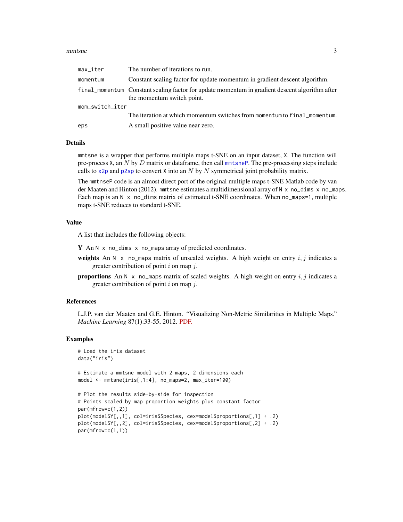#### <span id="page-2-0"></span>mmtsne 3

| max_iter        | The number of iterations to run.                                                                                             |
|-----------------|------------------------------------------------------------------------------------------------------------------------------|
| momentum        | Constant scaling factor for update momentum in gradient descent algorithm.                                                   |
|                 | final_momentum Constant scaling factor for update momentum in gradient descent algorithm after<br>the momentum switch point. |
| mom_switch_iter |                                                                                                                              |
|                 | The iteration at which momentum switches from momentum to final_momentum.                                                    |
| eps             | A small positive value near zero.                                                                                            |

#### Details

mmtsne is a wrapper that performs multiple maps t-SNE on an input dataset, X. The function will pre-process  $X$ , an  $N$  by  $D$  matrix or dataframe, then call [mmtsneP](#page-3-1). The pre-processing steps include calls to  $\times 2p$  and  $p2sp$  to convert X into an N by N symmetrical joint probability matrix.

The mmtnseP code is an almost direct port of the original multiple maps t-SNE Matlab code by van der Maaten and Hinton (2012). mmtsne estimates a multidimensional array of  $N \times n$  no dims  $X$  no maps. Each map is an  $N \times n$  no dims matrix of estimated t-SNE coordinates. When no maps=1, multiple maps t-SNE reduces to standard t-SNE.

#### Value

A list that includes the following objects:

Y An N x no\_dims x no\_maps array of predicted coordinates.

- weights An N x no\_maps matrix of unscaled weights. A high weight on entry  $i, j$  indicates a greater contribution of point  $i$  on map  $j$ .
- **proportions** An N x no\_maps matrix of scaled weights. A high weight on entry i, j indicates a greater contribution of point  $i$  on map  $j$ .

#### References

L.J.P. van der Maaten and G.E. Hinton. "Visualizing Non-Metric Similarities in Multiple Maps." *Machine Learning* 87(1):33-55, 2012. [PDF.](https://lvdmaaten.github.io/publications/papers/MachLearn_2012.pdf)

#### Examples

```
# Load the iris dataset
data("iris")
# Estimate a mmtsne model with 2 maps, 2 dimensions each
model <- mmtsne(iris[,1:4], no_maps=2, max_iter=100)
# Plot the results side-by-side for inspection
# Points scaled by map proportion weights plus constant factor
par(mfrow=c(1,2))
```

```
plot(model$Y[,,1], col=iris$Species, cex=model$proportions[,1] + .2)
plot(model$Y[,,2], col=iris$Species, cex=model$proportions[,2] + .2)
par(mfrow=c(1,1))
```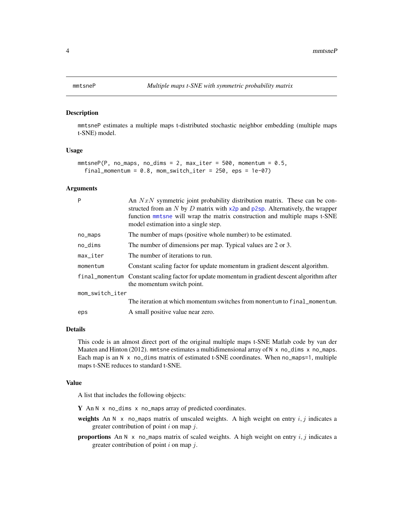#### <span id="page-3-1"></span><span id="page-3-0"></span>Description

mmtsneP estimates a multiple maps t-distributed stochastic neighbor embedding (multiple maps t-SNE) model.

#### Usage

```
mmtsneP(P, no_maps, no_dims = 2, max\_iter = 500, momentum = 0.5,final_momentum = 0.8, mom_switch_iter = 250, eps = 1e-07)
```
#### Arguments

| P                      | An $NxN$ symmetric joint probability distribution matrix. These can be con-<br>structed from an N by D matrix with $x2p$ and $p2sp$ . Alternatively, the wrapper<br>function method will wrap the matrix construction and multiple maps t-SNE<br>model estimation into a single step. |
|------------------------|---------------------------------------------------------------------------------------------------------------------------------------------------------------------------------------------------------------------------------------------------------------------------------------|
| no_maps                | The number of maps (positive whole number) to be estimated.                                                                                                                                                                                                                           |
| no_dims                | The number of dimensions per map. Typical values are 2 or 3.                                                                                                                                                                                                                          |
| $max$ <sub>Liter</sub> | The number of iterations to run.                                                                                                                                                                                                                                                      |
| momentum               | Constant scaling factor for update momentum in gradient descent algorithm.                                                                                                                                                                                                            |
|                        | final_momentum Constant scaling factor for update momentum in gradient descent algorithm after<br>the momentum switch point.                                                                                                                                                          |
| mom_switch_iter        |                                                                                                                                                                                                                                                                                       |
|                        | The iteration at which momentum switches from momentum to final momentum.                                                                                                                                                                                                             |
| eps                    | A small positive value near zero.                                                                                                                                                                                                                                                     |

#### Details

This code is an almost direct port of the original multiple maps t-SNE Matlab code by van der Maaten and Hinton (2012). mmtsne estimates a multidimensional array of  $N \times no$  dims  $\times no$  maps. Each map is an  $N \times no$  dims matrix of estimated t-SNE coordinates. When no maps=1, multiple maps t-SNE reduces to standard t-SNE.

#### Value

A list that includes the following objects:

Y An N x no\_dims x no\_maps array of predicted coordinates.

- weights An N x no\_maps matrix of unscaled weights. A high weight on entry  $i, j$  indicates a greater contribution of point  $i$  on map  $j$ .
- **proportions** An N x no\_maps matrix of scaled weights. A high weight on entry  $i, j$  indicates a greater contribution of point  $i$  on map  $j$ .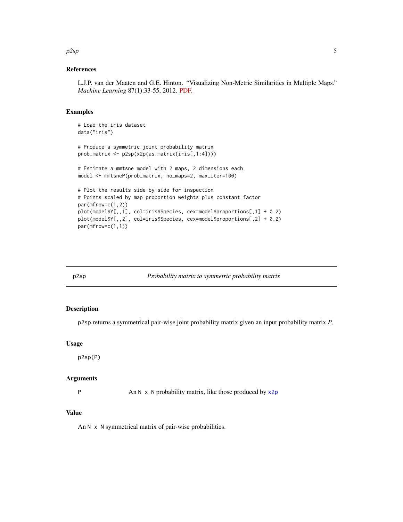#### <span id="page-4-0"></span> $p2sp$  5

#### References

L.J.P. van der Maaten and G.E. Hinton. "Visualizing Non-Metric Similarities in Multiple Maps." *Machine Learning* 87(1):33-55, 2012. [PDF.](https://lvdmaaten.github.io/publications/papers/MachLearn_2012.pdf)

#### Examples

```
# Load the iris dataset
data("iris")
# Produce a symmetric joint probability matrix
prob_matrix <- p2sp(x2p(as.matrix(iris[,1:4])))
# Estimate a mmtsne model with 2 maps, 2 dimensions each
model <- mmtsneP(prob_matrix, no_maps=2, max_iter=100)
# Plot the results side-by-side for inspection
# Points scaled by map proportion weights plus constant factor
par(mfrow=c(1,2))
plot(model$Y[,,1], col=iris$Species, cex=model$proportions[,1] + 0.2)
plot(model$Y[,,2], col=iris$Species, cex=model$proportions[,2] + 0.2)
par(mfrow=c(1,1))
```
<span id="page-4-1"></span>

p2sp *Probability matrix to symmetric probability matrix*

#### Description

p2sp returns a symmetrical pair-wise joint probability matrix given an input probability matrix *P*.

#### Usage

p2sp(P)

#### Arguments

P An N x N probability matrix, like those produced by  $x2p$ 

#### Value

An N x N symmetrical matrix of pair-wise probabilities.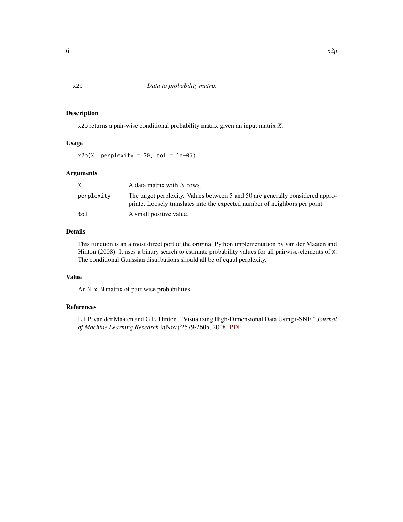#### <span id="page-5-1"></span><span id="page-5-0"></span>Description

x2p returns a pair-wise conditional probability matrix given an input matrix *X*.

#### Usage

 $x2p(X, perplexity = 30, tol = 1e-05)$ 

#### Arguments

|            | A data matrix with $N$ rows.                                                                                                                                  |
|------------|---------------------------------------------------------------------------------------------------------------------------------------------------------------|
| perplexity | The target perplexity. Values between 5 and 50 are generally considered appro-<br>priate. Loosely translates into the expected number of neighbors per point. |
| tol        | A small positive value.                                                                                                                                       |

#### Details

This function is an almost direct port of the original Python implementation by van der Maaten and Hinton (2008). It uses a binary search to estimate probability values for all pairwise-elements of X. The conditional Gaussian distributions should all be of equal perplexity.

#### Value

An N x N matrix of pair-wise probabilities.

#### References

L.J.P. van der Maaten and G.E. Hinton. "Visualizing High-Dimensional Data Using t-SNE." *Journal of Machine Learning Research* 9(Nov):2579-2605, 2008. [PDF.](https://lvdmaaten.github.io/publications/papers/JMLR_2008.pdf)